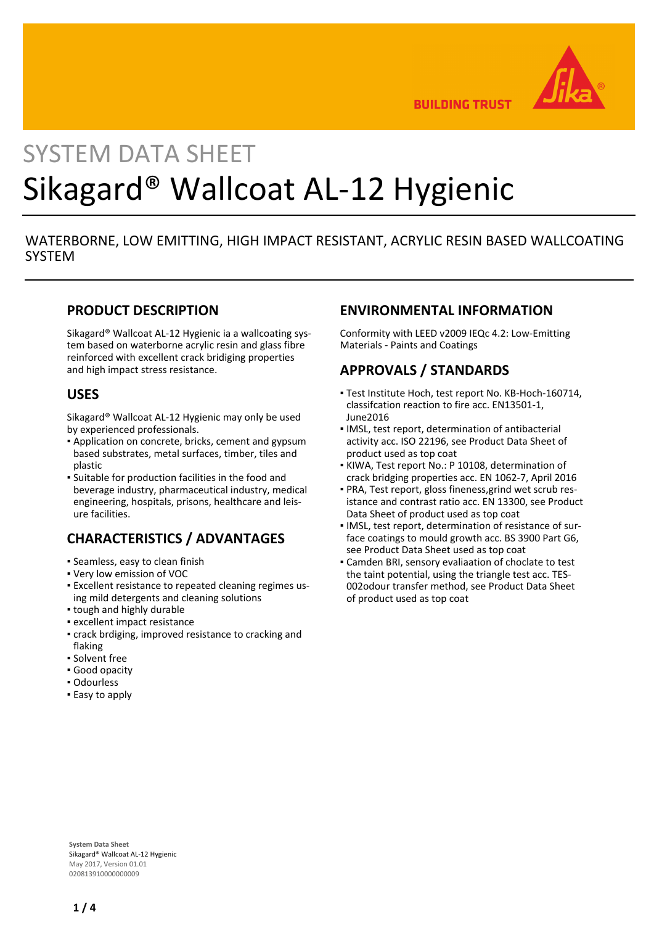

**BUILDING TRUST** 

# SYSTEM DATA SHEET Sikagard® Wallcoat AL-12 Hygienic

# WATERBORNE, LOW EMITTING, HIGH IMPACT RESISTANT, ACRYLIC RESIN BASED WALLCOATING **SYSTEM**

### **PRODUCT DESCRIPTION**

Sikagard® Wallcoat AL-12 Hygienic ia a wallcoating system based on waterborne acrylic resin and glass fibre reinforced with excellent crack bridiging properties and high impact stress resistance.

#### **USES**

Sikagard® Wallcoat AL-12 Hygienic may only be used by experienced professionals.

- Application on concrete, bricks, cement and gypsum based substrates, metal surfaces, timber, tiles and plastic
- Suitable for production facilities in the food and beverage industry, pharmaceutical industry, medical engineering, hospitals, prisons, healthcare and leisure facilities.

# **CHARACTERISTICS / ADVANTAGES**

- Seamless, easy to clean finish
- Very low emission of VOC
- Excellent resistance to repeated cleaning regimes us-▪ ing mild detergents and cleaning solutions
- tough and highly durable
- excellent impact resistance
- crack brdiging, improved resistance to cracking and flaking
- Solvent free
- Good opacity
- Odourless
- **Easy to apply**

#### **ENVIRONMENTAL INFORMATION**

Conformity with LEED v2009 IEQc 4.2: Low-Emitting Materials - Paints and Coatings

## **APPROVALS / STANDARDS**

- Test Institute Hoch, test report No. KB-Hoch-160714, classifcation reaction to fire acc. EN13501-1, June2016
- **.** IMSL, test report, determination of antibacterial activity acc. ISO 22196, see Product Data Sheet of product used as top coat
- KIWA, Test report No.: P 10108, determination of crack bridging properties acc. EN 1062-7, April 2016
- PRA, Test report, gloss fineness,grind wet scrub res-▪ istance and contrast ratio acc. EN 13300, see Product Data Sheet of product used as top coat
- **IMSL, test report, determination of resistance of sur**face coatings to mould growth acc. BS 3900 Part G6, see Product Data Sheet used as top coat
- Camden BRI, sensory evaliaation of choclate to test the taint potential, using the triangle test acc. TES-002odour transfer method, see Product Data Sheet of product used as top coat

**System Data Sheet** Sikagard® Wallcoat AL-12 Hygienic May 2017, Version 01.01 020813910000000009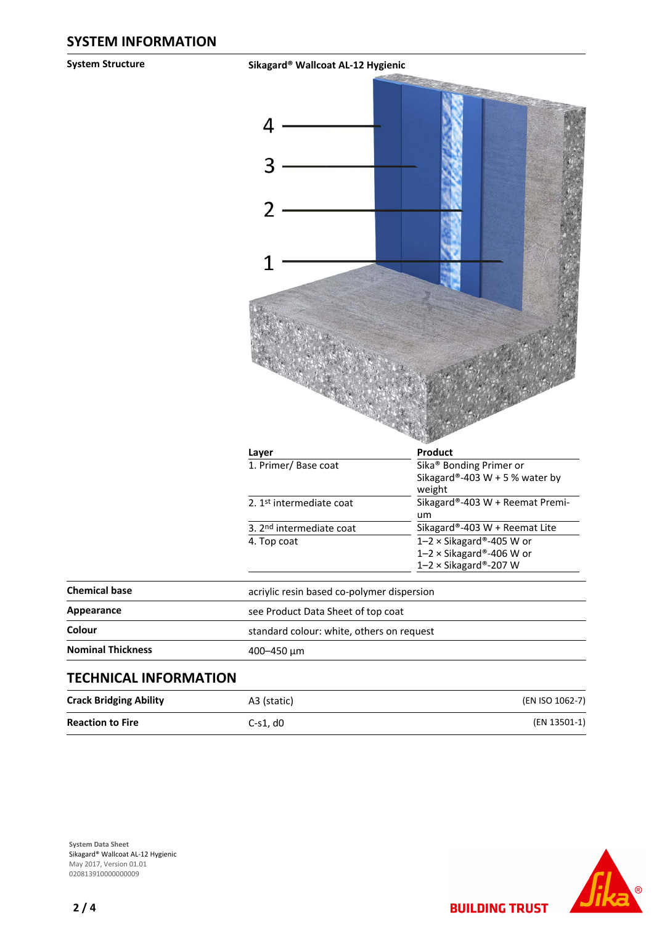**System Structure Sikagard® Wallcoat AL-12 Hygienic**



**Reaction to Fire** C-s1, d0 **C-s1, d0** (EN 13501-1)

**System Data Sheet** Sikagard® Wallcoat AL-12 Hygienic May 2017, Version 01.01 020813910000000009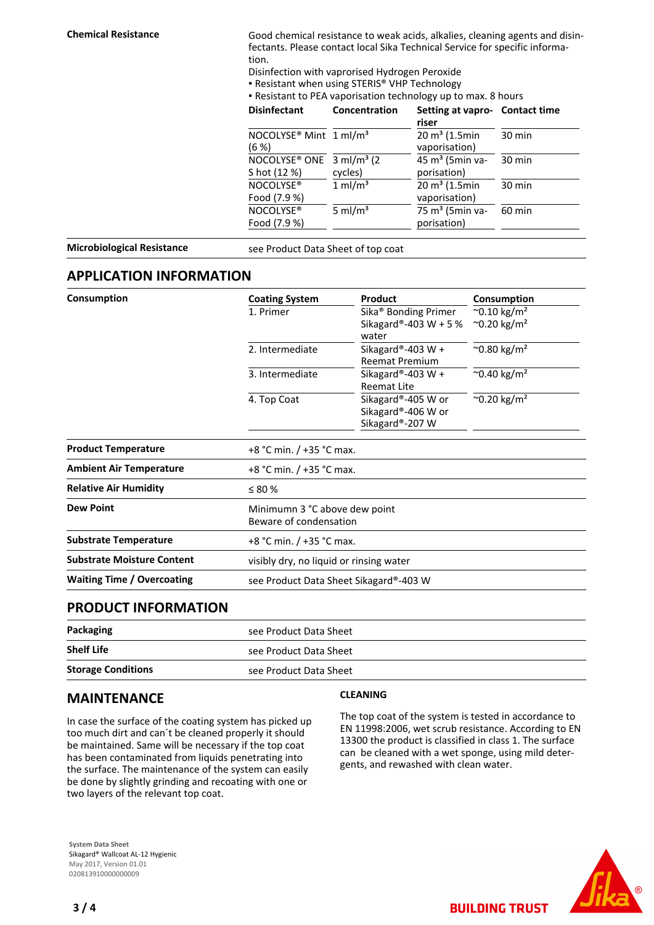**Chemical Resistance** Good chemical resistance to weak acids, alkalies, cleaning agents and disinfectants. Please contact local Sika Technical Service for specific information.

Disinfection with vaprorised Hydrogen Peroxide

**• Resistant when using STERIS® VHP Technology** 

▪ Resistant to PEA vaporisation technology up to max. 8 hours

| <b>Disinfectant</b>                                                 | Concentration         | Setting at vapro- Contact time<br>riser    |        |
|---------------------------------------------------------------------|-----------------------|--------------------------------------------|--------|
| NOCOLYSE <sup>®</sup> Mint 1 ml/m <sup>3</sup><br>$(6 \%)$          |                       | $20 \text{ m}^3$ (1.5min<br>vaporisation)  | 30 min |
| NOCOLYSE <sup>®</sup> ONE $3$ ml/m <sup>3</sup> (2)<br>S hot (12 %) | cycles)               | 45 m <sup>3</sup> (5min va-<br>porisation) | 30 min |
| NOCOLYSE <sup>®</sup><br>Food (7.9 %)                               | $1$ ml/m <sup>3</sup> | $20 \text{ m}^3$ (1.5min<br>vaporisation)  | 30 min |
| NOCOLYSE®<br>Food (7.9 %)                                           | 5 ml/ $m3$            | 75 m <sup>3</sup> (5min va-<br>porisation) | 60 min |

**Microbiological Resistance** see Product Data Sheet of top coat

#### **APPLICATION INFORMATION**

| Consumption                       | <b>Coating System</b>                                   | Product                                                     | Consumption                       |  |  |  |
|-----------------------------------|---------------------------------------------------------|-------------------------------------------------------------|-----------------------------------|--|--|--|
|                                   | 1. Primer                                               | Sika <sup>®</sup> Bonding Primer                            | $^{\sim}$ 0.10 kg/m <sup>2</sup>  |  |  |  |
|                                   |                                                         | Sikagard®-403 W + 5 %<br>water                              | $^{\circ}$ 0.20 kg/m <sup>2</sup> |  |  |  |
|                                   | 2. Intermediate                                         | Sikagard®-403 W +<br><b>Reemat Premium</b>                  | $^{\sim}$ 0.80 kg/m <sup>2</sup>  |  |  |  |
|                                   | 3. Intermediate                                         | Sikagard®-403 W +<br><b>Reemat Lite</b>                     | $^{\sim}$ 0.40 kg/m <sup>2</sup>  |  |  |  |
|                                   | 4. Top Coat                                             | Sikagard®-405 W or<br>Sikagard®-406 W or<br>Sikagard®-207 W | $^{\sim}$ 0.20 kg/m <sup>2</sup>  |  |  |  |
| <b>Product Temperature</b>        |                                                         | +8 °C min. / +35 °C max.                                    |                                   |  |  |  |
| <b>Ambient Air Temperature</b>    |                                                         | +8 °C min. / +35 °C max.                                    |                                   |  |  |  |
| <b>Relative Air Humidity</b>      | $\leq 80\%$                                             |                                                             |                                   |  |  |  |
| <b>Dew Point</b>                  | Minimumn 3 °C above dew point<br>Beware of condensation |                                                             |                                   |  |  |  |
| <b>Substrate Temperature</b>      | +8 °C min. / +35 °C max.                                |                                                             |                                   |  |  |  |
| <b>Substrate Moisture Content</b> | visibly dry, no liquid or rinsing water                 |                                                             |                                   |  |  |  |
| <b>Waiting Time / Overcoating</b> | see Product Data Sheet Sikagard®-403 W                  |                                                             |                                   |  |  |  |
|                                   |                                                         |                                                             |                                   |  |  |  |

#### **PRODUCT INFORMATION**

| Packaging                 | see Product Data Sheet |  |
|---------------------------|------------------------|--|
| <b>Shelf Life</b>         | see Product Data Sheet |  |
| <b>Storage Conditions</b> | see Product Data Sheet |  |

### **MAINTENANCE**

In case the surface of the coating system has picked up too much dirt and can´t be cleaned properly it should be maintained. Same will be necessary if the top coat has been contaminated from liquids penetrating into the surface. The maintenance of the system can easily be done by slightly grinding and recoating with one or two layers of the relevant top coat.

#### **System Data Sheet** Sikagard® Wallcoat AL-12 Hygienic May 2017, Version 01.01 020813910000000009

#### **CLEANING**

The top coat of the system is tested in accordance to EN 11998:2006, wet scrub resistance. According to EN 13300 the product is classified in class 1. The surface can be cleaned with a wet sponge, using mild detergents, and rewashed with clean water.

**BUILDING TRUST**